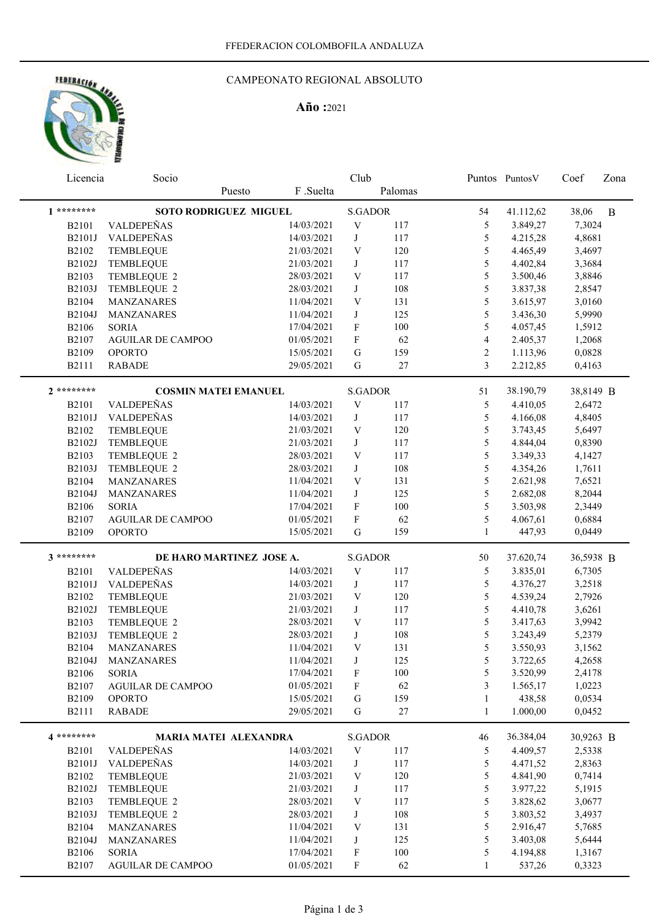# HOTRACION AND

#### CAMPEONATO REGIONAL ABSOLUTO

### **Año :**2021

| Licencia     | Socio                        |        |            | Club                      |         |                | Puntos Puntos V | Coef      | Zona |
|--------------|------------------------------|--------|------------|---------------------------|---------|----------------|-----------------|-----------|------|
|              |                              | Puesto | F .Suelta  |                           | Palomas |                |                 |           |      |
| $1********$  | <b>SOTO RODRIGUEZ MIGUEL</b> |        |            | <b>S.GADOR</b>            |         | 54             | 41.112,62       | 38,06     | B    |
| <b>B2101</b> | VALDEPEÑAS                   |        | 14/03/2021 | $\mathbf V$               | 117     | 5              | 3.849,27        | 7,3024    |      |
| B2101J       | VALDEPEÑAS                   |        | 14/03/2021 | J                         | 117     | 5              | 4.215,28        | 4,8681    |      |
| B2102        | <b>TEMBLEQUE</b>             |        | 21/03/2021 | V                         | 120     | 5              | 4.465,49        | 3,4697    |      |
| B2102J       | TEMBLEQUE                    |        | 21/03/2021 | J                         | 117     | 5              | 4.402,84        | 3,3684    |      |
| B2103        | TEMBLEQUE 2                  |        | 28/03/2021 | $\ensuremath{\mathbf{V}}$ | 117     | 5              | 3.500,46        | 3,8846    |      |
| B2103J       | TEMBLEQUE 2                  |        | 28/03/2021 | J                         | 108     | 5              | 3.837,38        | 2,8547    |      |
| B2104        | <b>MANZANARES</b>            |        | 11/04/2021 | V                         | 131     | 5              | 3.615,97        | 3,0160    |      |
| B2104J       | <b>MANZANARES</b>            |        | 11/04/2021 | $\bf J$                   | 125     | 5              | 3.436,30        | 5,9990    |      |
| <b>B2106</b> | <b>SORIA</b>                 |        | 17/04/2021 | $\mathbf F$               | 100     | $\mathfrak s$  | 4.057,45        | 1,5912    |      |
| B2107        | <b>AGUILAR DE CAMPOO</b>     |        | 01/05/2021 | $\boldsymbol{\mathrm{F}}$ | 62      | $\overline{4}$ | 2.405,37        | 1,2068    |      |
| B2109        | <b>OPORTO</b>                |        | 15/05/2021 | G                         | 159     | $\sqrt{2}$     | 1.113,96        | 0,0828    |      |
| B2111        | <b>RABADE</b>                |        | 29/05/2021 | G                         | 27      | 3              | 2.212,85        | 0,4163    |      |
| $2*******$   |                              |        |            |                           |         |                |                 |           |      |
|              | <b>COSMIN MATEI EMANUEL</b>  |        |            | <b>S.GADOR</b>            |         | 51             | 38.190,79       | 38,8149 B |      |
| <b>B2101</b> | VALDEPEÑAS                   |        | 14/03/2021 | $\ensuremath{\mathbf{V}}$ | 117     | 5              | 4.410,05        | 2,6472    |      |
| B2101J       | VALDEPEÑAS                   |        | 14/03/2021 | J                         | 117     | 5              | 4.166,08        | 4,8405    |      |
| B2102        | TEMBLEQUE                    |        | 21/03/2021 | V                         | 120     | 5              | 3.743,45        | 5,6497    |      |
| B2102J       | TEMBLEQUE                    |        | 21/03/2021 | J                         | 117     | 5              | 4.844,04        | 0,8390    |      |
| B2103        | TEMBLEQUE 2                  |        | 28/03/2021 | V                         | 117     | 5              | 3.349,33        | 4,1427    |      |
| B2103J       | TEMBLEQUE 2                  |        | 28/03/2021 | J                         | 108     | 5              | 4.354,26        | 1,7611    |      |
| B2104        | MANZANARES                   |        | 11/04/2021 | V                         | 131     | 5              | 2.621,98        | 7,6521    |      |
| B2104J       | MANZANARES                   |        | 11/04/2021 | J                         | 125     | 5              | 2.682,08        | 8,2044    |      |
| <b>B2106</b> | <b>SORIA</b>                 |        | 17/04/2021 | F                         | 100     | 5              | 3.503,98        | 2,3449    |      |
| B2107        | <b>AGUILAR DE CAMPOO</b>     |        | 01/05/2021 | F                         | 62      | 5              | 4.067,61        | 0,6884    |      |
| B2109        | <b>OPORTO</b>                |        | 15/05/2021 | G                         | 159     | $\mathbf{1}$   | 447,93          | 0,0449    |      |
| 3 ********   | DE HARO MARTINEZ JOSE A.     |        |            | <b>S.GADOR</b>            |         | 50             | 37.620,74       | 36,5938 B |      |
| B2101        | VALDEPEÑAS                   |        | 14/03/2021 | V                         | 117     | 5              | 3.835,01        | 6,7305    |      |
| B2101J       | VALDEPEÑAS                   |        | 14/03/2021 | J                         | 117     | 5              | 4.376,27        | 3,2518    |      |
| B2102        | TEMBLEQUE                    |        | 21/03/2021 | $\ensuremath{\text{V}}$   | 120     | 5              | 4.539,24        | 2,7926    |      |
| B2102J       | <b>TEMBLEQUE</b>             |        | 21/03/2021 | J                         | 117     | 5              | 4.410,78        | 3,6261    |      |
| B2103        | TEMBLEQUE 2                  |        | 28/03/2021 | $\mathbf V$               | 117     | $\mathfrak s$  | 3.417,63        | 3,9942    |      |
| B2103J       | TEMBLEQUE 2                  |        | 28/03/2021 | J                         | 108     | 5              | 3.243,49        | 5,2379    |      |
| B2104        | MANZANARES                   |        | 11/04/2021 | $\mathbf V$               | 131     | 5              | 3.550,93        | 3,1562    |      |
|              | B2104J MANZANARES            |        | 11/04/2021 | J                         | 125     | 5              | 3.722,65        | 4,2658    |      |
| <b>B2106</b> | <b>SORIA</b>                 |        | 17/04/2021 | F                         | 100     | 5              | 3.520,99        | 2,4178    |      |
| B2107        | <b>AGUILAR DE CAMPOO</b>     |        | 01/05/2021 | F                         | 62      | 3              | 1.565,17        | 1,0223    |      |
| B2109        | <b>OPORTO</b>                |        | 15/05/2021 | G                         | 159     | 1              | 438,58          | 0,0534    |      |
| <b>B2111</b> | <b>RABADE</b>                |        | 29/05/2021 | G                         | 27      | 1              | 1.000,00        | 0,0452    |      |
| 4 *********  | <b>MARIA MATEI ALEXANDRA</b> |        |            | <b>S.GADOR</b>            |         | 46             | 36.384,04       | 30,9263 B |      |
| <b>B2101</b> | VALDEPEÑAS                   |        | 14/03/2021 | $\ensuremath{\mathbf{V}}$ | 117     | 5              | 4.409,57        | 2,5338    |      |
| B2101J       | VALDEPEÑAS                   |        | 14/03/2021 | J                         | 117     | 5              | 4.471,52        | 2,8363    |      |
| B2102        | TEMBLEQUE                    |        | 21/03/2021 | V                         | 120     | 5              | 4.841,90        | 0,7414    |      |
| B2102J       | TEMBLEQUE                    |        | 21/03/2021 | J                         | 117     | 5              | 3.977,22        | 5,1915    |      |
| B2103        | TEMBLEQUE 2                  |        | 28/03/2021 | V                         | 117     | 5              | 3.828,62        | 3,0677    |      |
| B2103J       | TEMBLEQUE 2                  |        | 28/03/2021 | J                         | 108     | 5              | 3.803,52        | 3,4937    |      |
| B2104        | MANZANARES                   |        | 11/04/2021 | V                         | 131     | 5              | 2.916,47        | 5,7685    |      |
| B2104J       | MANZANARES                   |        | 11/04/2021 | J                         | 125     | 5              | 3.403,08        | 5,6444    |      |
| <b>B2106</b> | <b>SORIA</b>                 |        | 17/04/2021 | F                         | $100\,$ | 5              | 4.194,88        | 1,3167    |      |
| B2107        | AGUILAR DE CAMPOO            |        | 01/05/2021 | F                         | 62      |                | 537,26          | 0,3323    |      |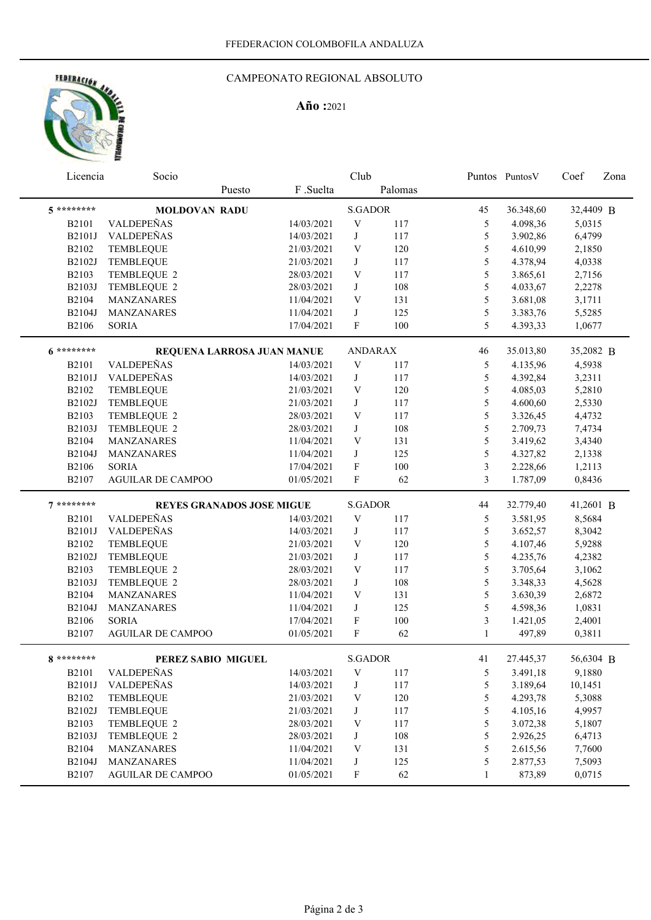### FEDERACIÓN dr,

#### CAMPEONATO REGIONAL ABSOLUTO

#### **Año :**2021

| Licencia              | Club<br>Socio                            |                                  |            | Puntos PuntosV            | Coef      | Zona              |                    |                  |  |
|-----------------------|------------------------------------------|----------------------------------|------------|---------------------------|-----------|-------------------|--------------------|------------------|--|
|                       |                                          | Puesto                           | F .Suelta  |                           | Palomas   |                   |                    |                  |  |
| $5********$           | <b>MOLDOVAN RADU</b>                     |                                  |            | <b>S.GADOR</b>            |           | 45                | 36.348,60          | 32,4409 B        |  |
| <b>B2101</b>          | VALDEPEÑAS                               |                                  | 14/03/2021 | $\mathbf V$               | 117       | 5                 | 4.098,36           | 5,0315           |  |
| B2101J                | VALDEPEÑAS                               |                                  | 14/03/2021 | J                         | 117       | 5                 | 3.902,86           | 6,4799           |  |
| B2102                 | <b>TEMBLEQUE</b>                         |                                  | 21/03/2021 | $\ensuremath{\mathbf{V}}$ | 120       | 5                 | 4.610,99           | 2,1850           |  |
| B2102J                | TEMBLEQUE                                |                                  | 21/03/2021 | J                         | 117       | 5                 | 4.378,94           | 4,0338           |  |
| B2103                 | TEMBLEQUE 2                              |                                  | 28/03/2021 | V                         | 117       | $\mathfrak s$     | 3.865,61           | 2,7156           |  |
| B2103J                | TEMBLEQUE 2                              |                                  | 28/03/2021 | J                         | 108       | $\mathfrak s$     | 4.033,67           | 2,2278           |  |
| B2104                 | MANZANARES                               |                                  | 11/04/2021 | V                         | 131       | $\mathfrak s$     | 3.681,08           | 3,1711           |  |
| B2104J                | MANZANARES                               |                                  | 11/04/2021 | J                         | 125       | 5                 | 3.383,76           | 5,5285           |  |
| <b>B2106</b>          | <b>SORIA</b>                             |                                  | 17/04/2021 | F                         | 100       | 5                 | 4.393,33           | 1,0677           |  |
| $6*******$            |                                          | REQUENA LARROSA JUAN MANUE       |            | <b>ANDARAX</b>            |           | 46                | 35.013,80          | 35,2082 B        |  |
| <b>B2101</b>          | VALDEPEÑAS                               |                                  | 14/03/2021 | $\ensuremath{\mathbf{V}}$ | 117       | 5                 | 4.135,96           | 4,5938           |  |
| B2101J                | VALDEPEÑAS                               |                                  | 14/03/2021 | $\bf J$                   | 117       | 5                 | 4.392,84           | 3,2311           |  |
| B2102                 | <b>TEMBLEQUE</b>                         |                                  | 21/03/2021 | V                         | 120       | 5                 | 4.085,03           | 5,2810           |  |
| B2102J                | TEMBLEQUE                                |                                  | 21/03/2021 | J                         | 117       | 5                 | 4.600,60           | 2,5330           |  |
| B2103                 | TEMBLEQUE 2                              |                                  | 28/03/2021 | V                         | 117       | 5                 | 3.326,45           | 4,4732           |  |
| <b>B2103J</b>         | TEMBLEQUE 2                              |                                  | 28/03/2021 | J                         | 108       | 5                 | 2.709,73           | 7,4734           |  |
| B2104                 | <b>MANZANARES</b>                        |                                  | 11/04/2021 | V                         | 131       | 5                 | 3.419,62           | 3,4340           |  |
| B2104J                | MANZANARES                               |                                  | 11/04/2021 | J                         | 125       | 5                 | 4.327,82           | 2,1338           |  |
| <b>B2106</b>          | <b>SORIA</b>                             |                                  | 17/04/2021 | F                         | 100       | 3                 | 2.228,66           | 1,2113           |  |
| B2107                 | <b>AGUILAR DE CAMPOO</b>                 |                                  | 01/05/2021 | $\mathbf F$               | 62        | $\overline{3}$    | 1.787,09           | 0,8436           |  |
| $7*******$            |                                          | <b>REYES GRANADOS JOSE MIGUE</b> |            | <b>S.GADOR</b>            |           | 44                | 32.779,40          | 41,2601 B        |  |
| <b>B2101</b>          | VALDEPEÑAS                               |                                  | 14/03/2021 | V                         | 117       | 5                 | 3.581,95           | 8,5684           |  |
| B2101J                | VALDEPEÑAS                               |                                  | 14/03/2021 | J                         | 117       | 5                 | 3.652,57           | 8,3042           |  |
| B2102                 | <b>TEMBLEQUE</b>                         |                                  | 21/03/2021 | $\ensuremath{\mathbf{V}}$ | 120       | 5                 | 4.107,46           | 5,9288           |  |
| B2102J                | TEMBLEQUE                                |                                  | 21/03/2021 | J                         | 117       | 5                 | 4.235,76           | 4,2382           |  |
| B2103                 | TEMBLEQUE 2                              |                                  | 28/03/2021 | V                         | 117       | 5                 | 3.705,64           | 3,1062           |  |
| B2103J                | TEMBLEQUE 2                              |                                  | 28/03/2021 | J                         | 108       | $\mathfrak s$     | 3.348,33           | 4,5628           |  |
| B2104                 | MANZANARES                               |                                  | 11/04/2021 | V                         | 131       | $\mathfrak s$     | 3.630,39           | 2,6872           |  |
| B2104J                | MANZANARES                               |                                  | 11/04/2021 | J                         | 125       | 5                 | 4.598,36           | 1,0831           |  |
| <b>B2106</b><br>B2107 | <b>SORIA</b><br><b>AGUILAR DE CAMPOO</b> |                                  | 17/04/2021 | $\mathbf F$<br>F          | 100<br>62 | 3<br>$\mathbf{1}$ | 1.421,05<br>497,89 | 2,4001<br>0,3811 |  |
|                       |                                          |                                  | 01/05/2021 |                           |           |                   |                    |                  |  |
| <b>Q</b> ********     | PEREZ SABIO MIGUEL                       |                                  |            | S.GADOR                   |           | 41                | 27.445,37          | 56,6304 B        |  |
| <b>B2101</b>          | VALDEPEÑAS                               |                                  | 14/03/2021 | V                         | 117       | 5                 | 3.491,18           | 9,1880           |  |
| B2101J                | VALDEPEÑAS                               |                                  | 14/03/2021 | J                         | 117       | 5                 | 3.189,64           | 10,1451          |  |
| B2102                 | TEMBLEQUE                                |                                  | 21/03/2021 | V                         | 120       | 5                 | 4.293,78           | 5,3088           |  |
| B2102J                | TEMBLEQUE                                |                                  | 21/03/2021 | J                         | 117       | 5                 | 4.105,16           | 4,9957           |  |
| B2103                 | TEMBLEQUE 2                              |                                  | 28/03/2021 | V                         | 117       | 5                 | 3.072,38           | 5,1807           |  |
| B2103J                | TEMBLEQUE 2                              |                                  | 28/03/2021 | J                         | 108       | 5                 | 2.926,25           | 6,4713           |  |
| B2104                 | MANZANARES                               |                                  | 11/04/2021 | V                         | 131       | 5                 | 2.615,56           | 7,7600           |  |
| B2104J                | MANZANARES                               |                                  | 11/04/2021 | J                         | 125       | 5                 | 2.877,53           | 7,5093           |  |
| B2107                 | <b>AGUILAR DE CAMPOO</b>                 |                                  | 01/05/2021 | F                         | 62        | 1                 | 873,89             | 0,0715           |  |